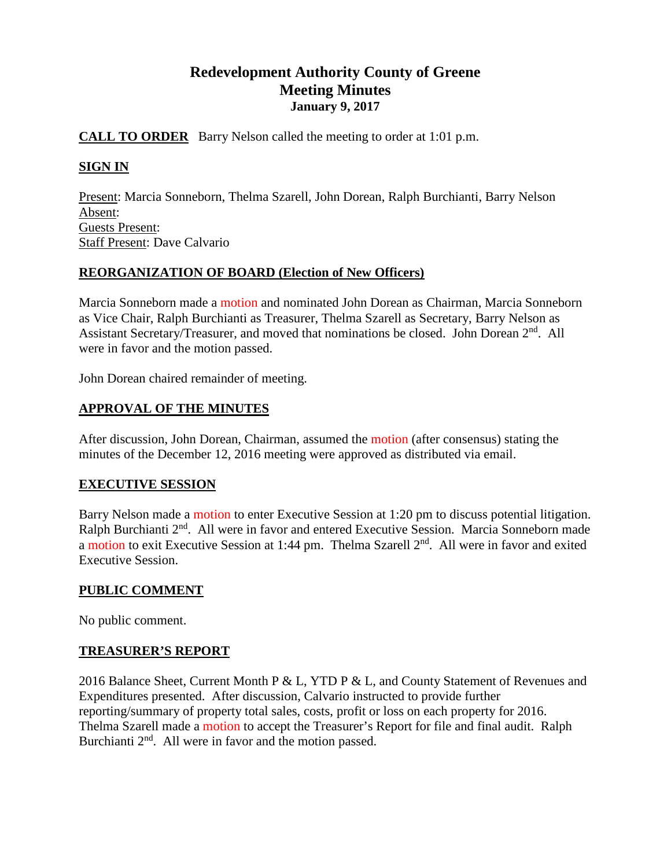# **Redevelopment Authority County of Greene Meeting Minutes January 9, 2017**

### **CALL TO ORDER** Barry Nelson called the meeting to order at 1:01 p.m.

### **SIGN IN**

Present: Marcia Sonneborn, Thelma Szarell, John Dorean, Ralph Burchianti, Barry Nelson Absent: Guests Present: Staff Present: Dave Calvario

### **REORGANIZATION OF BOARD (Election of New Officers)**

Marcia Sonneborn made a motion and nominated John Dorean as Chairman, Marcia Sonneborn as Vice Chair, Ralph Burchianti as Treasurer, Thelma Szarell as Secretary, Barry Nelson as Assistant Secretary/Treasurer, and moved that nominations be closed. John Dorean 2<sup>nd</sup>. All were in favor and the motion passed.

John Dorean chaired remainder of meeting.

### **APPROVAL OF THE MINUTES**

After discussion, John Dorean, Chairman, assumed the motion (after consensus) stating the minutes of the December 12, 2016 meeting were approved as distributed via email.

### **EXECUTIVE SESSION**

Barry Nelson made a motion to enter Executive Session at 1:20 pm to discuss potential litigation. Ralph Burchianti 2<sup>nd</sup>. All were in favor and entered Executive Session. Marcia Sonneborn made a motion to exit Executive Session at 1:44 pm. Thelma Szarell 2<sup>nd</sup>. All were in favor and exited Executive Session.

### **PUBLIC COMMENT**

No public comment.

### **TREASURER'S REPORT**

2016 Balance Sheet, Current Month P & L, YTD P & L, and County Statement of Revenues and Expenditures presented. After discussion, Calvario instructed to provide further reporting/summary of property total sales, costs, profit or loss on each property for 2016. Thelma Szarell made a motion to accept the Treasurer's Report for file and final audit. Ralph Burchianti 2<sup>nd</sup>. All were in favor and the motion passed.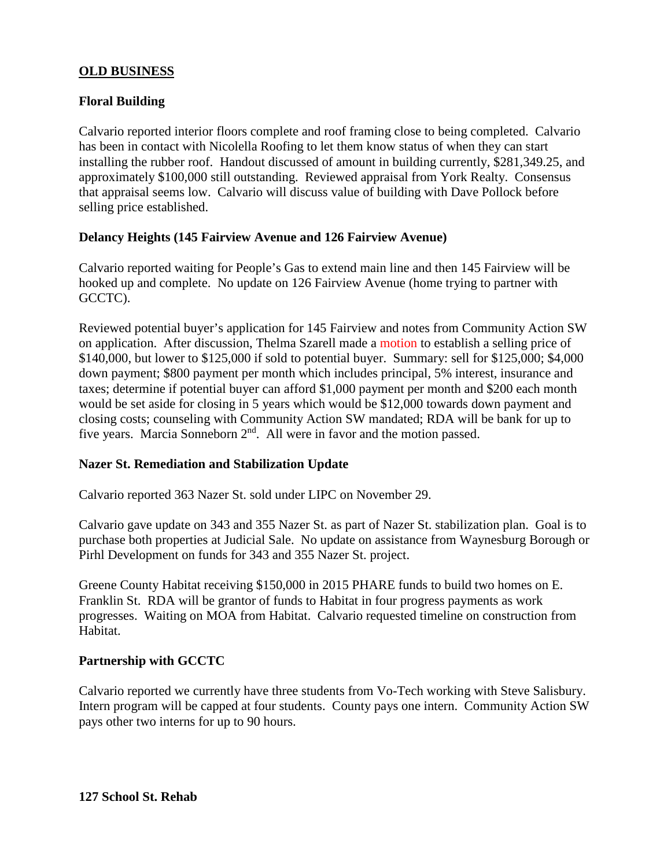### **OLD BUSINESS**

### **Floral Building**

Calvario reported interior floors complete and roof framing close to being completed. Calvario has been in contact with Nicolella Roofing to let them know status of when they can start installing the rubber roof. Handout discussed of amount in building currently, \$281,349.25, and approximately \$100,000 still outstanding. Reviewed appraisal from York Realty. Consensus that appraisal seems low. Calvario will discuss value of building with Dave Pollock before selling price established.

### **Delancy Heights (145 Fairview Avenue and 126 Fairview Avenue)**

Calvario reported waiting for People's Gas to extend main line and then 145 Fairview will be hooked up and complete. No update on 126 Fairview Avenue (home trying to partner with GCCTC).

Reviewed potential buyer's application for 145 Fairview and notes from Community Action SW on application. After discussion, Thelma Szarell made a motion to establish a selling price of \$140,000, but lower to \$125,000 if sold to potential buyer. Summary: sell for \$125,000; \$4,000 down payment; \$800 payment per month which includes principal, 5% interest, insurance and taxes; determine if potential buyer can afford \$1,000 payment per month and \$200 each month would be set aside for closing in 5 years which would be \$12,000 towards down payment and closing costs; counseling with Community Action SW mandated; RDA will be bank for up to five years. Marcia Sonneborn 2nd. All were in favor and the motion passed.

### **Nazer St. Remediation and Stabilization Update**

Calvario reported 363 Nazer St. sold under LIPC on November 29.

Calvario gave update on 343 and 355 Nazer St. as part of Nazer St. stabilization plan. Goal is to purchase both properties at Judicial Sale. No update on assistance from Waynesburg Borough or Pirhl Development on funds for 343 and 355 Nazer St. project.

Greene County Habitat receiving \$150,000 in 2015 PHARE funds to build two homes on E. Franklin St. RDA will be grantor of funds to Habitat in four progress payments as work progresses. Waiting on MOA from Habitat. Calvario requested timeline on construction from Habitat.

### **Partnership with GCCTC**

Calvario reported we currently have three students from Vo-Tech working with Steve Salisbury. Intern program will be capped at four students. County pays one intern. Community Action SW pays other two interns for up to 90 hours.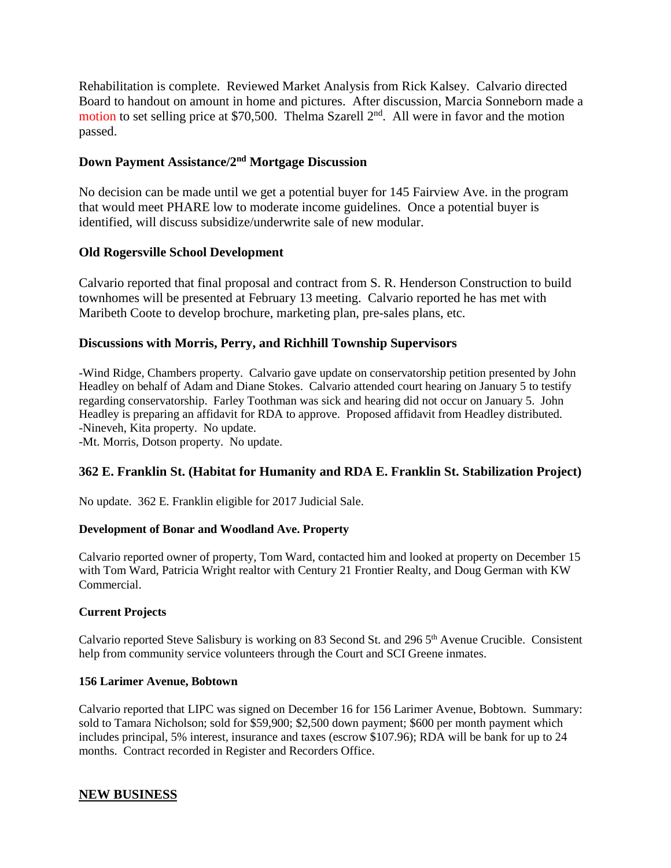Rehabilitation is complete. Reviewed Market Analysis from Rick Kalsey. Calvario directed Board to handout on amount in home and pictures. After discussion, Marcia Sonneborn made a motion to set selling price at \$70,500. Thelma Szarell 2<sup>nd</sup>. All were in favor and the motion passed.

### **Down Payment Assistance/2nd Mortgage Discussion**

No decision can be made until we get a potential buyer for 145 Fairview Ave. in the program that would meet PHARE low to moderate income guidelines. Once a potential buyer is identified, will discuss subsidize/underwrite sale of new modular.

### **Old Rogersville School Development**

Calvario reported that final proposal and contract from S. R. Henderson Construction to build townhomes will be presented at February 13 meeting. Calvario reported he has met with Maribeth Coote to develop brochure, marketing plan, pre-sales plans, etc.

### **Discussions with Morris, Perry, and Richhill Township Supervisors**

-Wind Ridge, Chambers property. Calvario gave update on conservatorship petition presented by John Headley on behalf of Adam and Diane Stokes. Calvario attended court hearing on January 5 to testify regarding conservatorship. Farley Toothman was sick and hearing did not occur on January 5. John Headley is preparing an affidavit for RDA to approve. Proposed affidavit from Headley distributed. -Nineveh, Kita property. No update.

-Mt. Morris, Dotson property. No update.

## **362 E. Franklin St. (Habitat for Humanity and RDA E. Franklin St. Stabilization Project)**

No update. 362 E. Franklin eligible for 2017 Judicial Sale.

#### **Development of Bonar and Woodland Ave. Property**

Calvario reported owner of property, Tom Ward, contacted him and looked at property on December 15 with Tom Ward, Patricia Wright realtor with Century 21 Frontier Realty, and Doug German with KW Commercial.

### **Current Projects**

Calvario reported Steve Salisbury is working on 83 Second St. and 296 5<sup>th</sup> Avenue Crucible. Consistent help from community service volunteers through the Court and SCI Greene inmates.

#### **156 Larimer Avenue, Bobtown**

Calvario reported that LIPC was signed on December 16 for 156 Larimer Avenue, Bobtown. Summary: sold to Tamara Nicholson; sold for \$59,900; \$2,500 down payment; \$600 per month payment which includes principal, 5% interest, insurance and taxes (escrow \$107.96); RDA will be bank for up to 24 months. Contract recorded in Register and Recorders Office.

### **NEW BUSINESS**